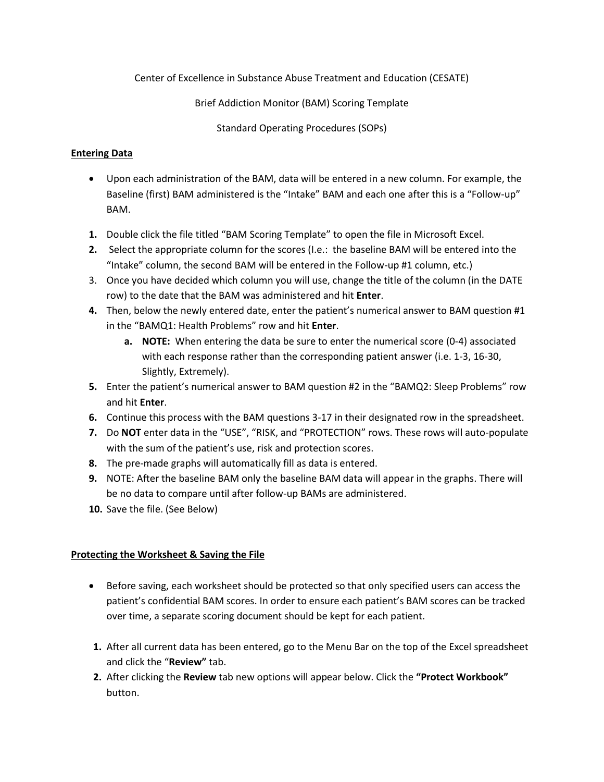Center of Excellence in Substance Abuse Treatment and Education (CESATE)

Brief Addiction Monitor (BAM) Scoring Template

Standard Operating Procedures (SOPs)

# **Entering Data**

- Upon each administration of the BAM, data will be entered in a new column. For example, the Baseline (first) BAM administered is the "Intake" BAM and each one after this is a "Follow-up" BAM.
- **1.** Double click the file titled "BAM Scoring Template" to open the file in Microsoft Excel.
- **2.** Select the appropriate column for the scores (I.e.: the baseline BAM will be entered into the "Intake" column, the second BAM will be entered in the Follow-up #1 column, etc.)
- 3. Once you have decided which column you will use, change the title of the column (in the DATE row) to the date that the BAM was administered and hit **Enter**.
- **4.** Then, below the newly entered date, enter the patient's numerical answer to BAM question #1 in the "BAMQ1: Health Problems" row and hit **Enter**.
	- **a. NOTE:** When entering the data be sure to enter the numerical score (0-4) associated with each response rather than the corresponding patient answer (i.e. 1-3, 16-30, Slightly, Extremely).
- **5.** Enter the patient's numerical answer to BAM question #2 in the "BAMQ2: Sleep Problems" row and hit **Enter**.
- **6.** Continue this process with the BAM questions 3-17 in their designated row in the spreadsheet.
- **7.** Do **NOT** enter data in the "USE", "RISK, and "PROTECTION" rows. These rows will auto-populate with the sum of the patient's use, risk and protection scores.
- **8.** The pre-made graphs will automatically fill as data is entered.
- **9.** NOTE: After the baseline BAM only the baseline BAM data will appear in the graphs. There will be no data to compare until after follow-up BAMs are administered.
- **10.** Save the file. (See Below)

# **Protecting the Worksheet & Saving the File**

- Before saving, each worksheet should be protected so that only specified users can access the patient's confidential BAM scores. In order to ensure each patient's BAM scores can be tracked over time, a separate scoring document should be kept for each patient.
- **1.** After all current data has been entered, go to the Menu Bar on the top of the Excel spreadsheet and click the "**Review"** tab.
- **2.** After clicking the **Review** tab new options will appear below. Click the **"Protect Workbook"**  button.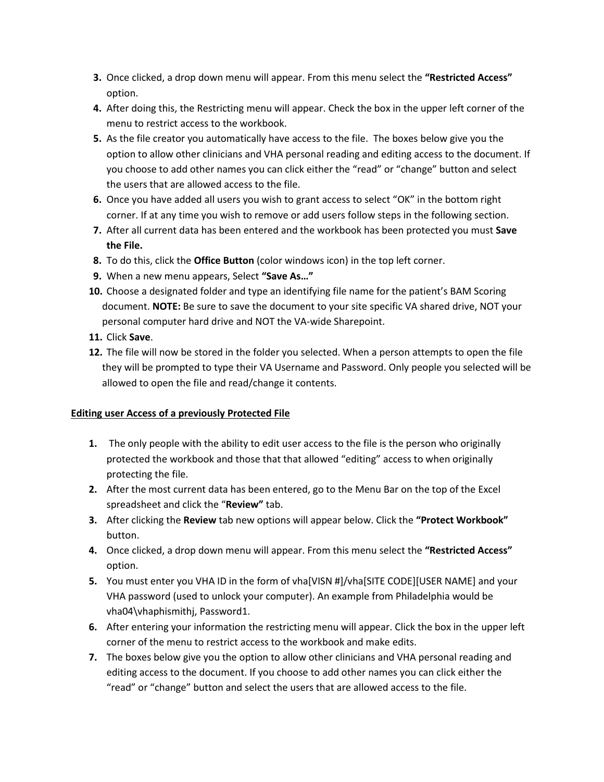- **3.** Once clicked, a drop down menu will appear. From this menu select the **"Restricted Access"**  option.
- **4.** After doing this, the Restricting menu will appear. Check the box in the upper left corner of the menu to restrict access to the workbook.
- **5.** As the file creator you automatically have access to the file. The boxes below give you the option to allow other clinicians and VHA personal reading and editing access to the document. If you choose to add other names you can click either the "read" or "change" button and select the users that are allowed access to the file.
- **6.** Once you have added all users you wish to grant access to select "OK" in the bottom right corner. If at any time you wish to remove or add users follow steps in the following section.
- **7.** After all current data has been entered and the workbook has been protected you must **Save the File.**
- **8.** To do this, click the **Office Button** (color windows icon) in the top left corner.
- **9.** When a new menu appears, Select **"Save As…"**
- **10.** Choose a designated folder and type an identifying file name for the patient's BAM Scoring document. **NOTE:** Be sure to save the document to your site specific VA shared drive, NOT your personal computer hard drive and NOT the VA-wide Sharepoint.
- **11.** Click **Save**.
- **12.** The file will now be stored in the folder you selected. When a person attempts to open the file they will be prompted to type their VA Username and Password. Only people you selected will be allowed to open the file and read/change it contents.

# **Editing user Access of a previously Protected File**

- **1.** The only people with the ability to edit user access to the file is the person who originally protected the workbook and those that that allowed "editing" access to when originally protecting the file.
- **2.** After the most current data has been entered, go to the Menu Bar on the top of the Excel spreadsheet and click the "**Review"** tab.
- **3.** After clicking the **Review** tab new options will appear below. Click the **"Protect Workbook"**  button.
- **4.** Once clicked, a drop down menu will appear. From this menu select the **"Restricted Access"**  option.
- **5.** You must enter you VHA ID in the form of vha[VISN #]/vha[SITE CODE][USER NAME] and your VHA password (used to unlock your computer). An example from Philadelphia would be vha04\vhaphismithj, Password1.
- **6.** After entering your information the restricting menu will appear. Click the box in the upper left corner of the menu to restrict access to the workbook and make edits.
- **7.** The boxes below give you the option to allow other clinicians and VHA personal reading and editing access to the document. If you choose to add other names you can click either the "read" or "change" button and select the users that are allowed access to the file.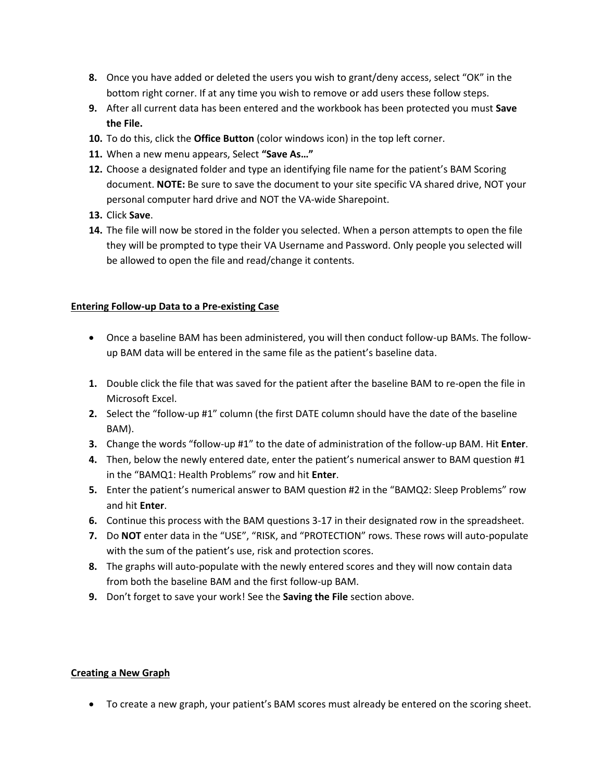- **8.** Once you have added or deleted the users you wish to grant/deny access, select "OK" in the bottom right corner. If at any time you wish to remove or add users these follow steps.
- **9.** After all current data has been entered and the workbook has been protected you must **Save the File.**
- **10.** To do this, click the **Office Button** (color windows icon) in the top left corner.
- **11.** When a new menu appears, Select **"Save As…"**
- **12.** Choose a designated folder and type an identifying file name for the patient's BAM Scoring document. **NOTE:** Be sure to save the document to your site specific VA shared drive, NOT your personal computer hard drive and NOT the VA-wide Sharepoint.
- **13.** Click **Save**.
- **14.** The file will now be stored in the folder you selected. When a person attempts to open the file they will be prompted to type their VA Username and Password. Only people you selected will be allowed to open the file and read/change it contents.

# **Entering Follow-up Data to a Pre-existing Case**

- Once a baseline BAM has been administered, you will then conduct follow-up BAMs. The followup BAM data will be entered in the same file as the patient's baseline data.
- **1.** Double click the file that was saved for the patient after the baseline BAM to re-open the file in Microsoft Excel.
- **2.** Select the "follow-up #1" column (the first DATE column should have the date of the baseline BAM).
- **3.** Change the words "follow-up #1" to the date of administration of the follow-up BAM. Hit **Enter**.
- **4.** Then, below the newly entered date, enter the patient's numerical answer to BAM question #1 in the "BAMQ1: Health Problems" row and hit **Enter**.
- **5.** Enter the patient's numerical answer to BAM question #2 in the "BAMQ2: Sleep Problems" row and hit **Enter**.
- **6.** Continue this process with the BAM questions 3-17 in their designated row in the spreadsheet.
- **7.** Do **NOT** enter data in the "USE", "RISK, and "PROTECTION" rows. These rows will auto-populate with the sum of the patient's use, risk and protection scores.
- **8.** The graphs will auto-populate with the newly entered scores and they will now contain data from both the baseline BAM and the first follow-up BAM.
- **9.** Don't forget to save your work! See the **Saving the File** section above.

# **Creating a New Graph**

To create a new graph, your patient's BAM scores must already be entered on the scoring sheet.